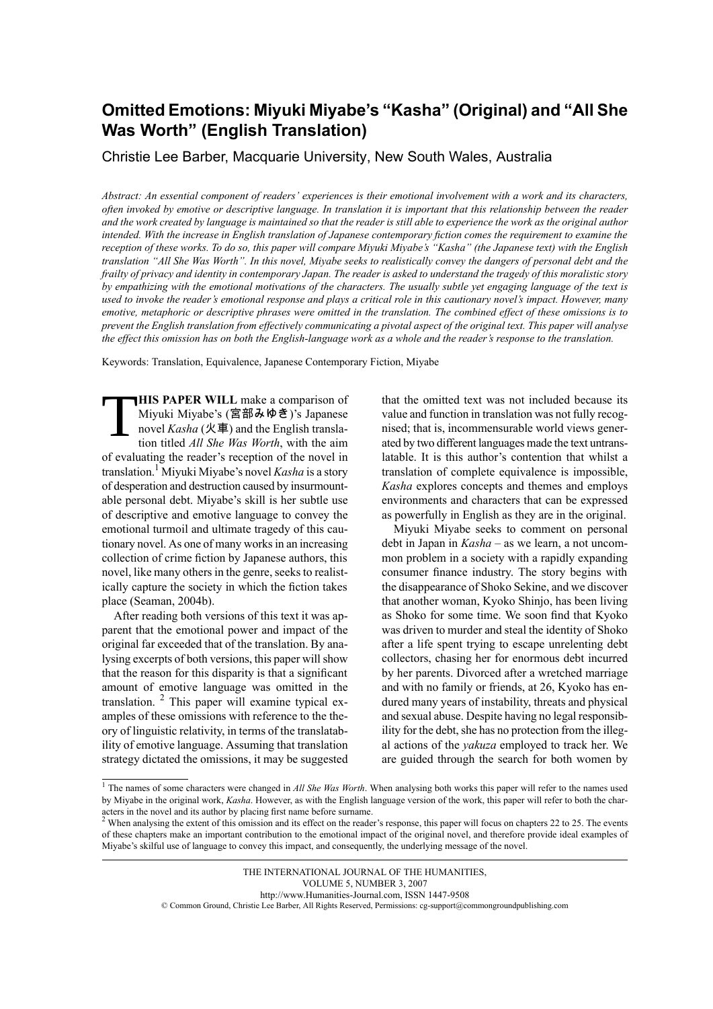## **Omitted Emotions: Miyuki Miyabe's "Kasha" (Original) and "All She Was Worth" (English Translation)**

Christie Lee Barber, Macquarie University, New South Wales, Australia

Abstract: An essential component of readers' experiences is their emotional involvement with a work and its characters, often invoked by emotive or descriptive language. In translation it is important that this relationship between the reader and the work created by language is maintained so that the reader is still able to experience the work as the original author intended. With the increase in English translation of Japanese contemporary fiction comes the requirement to examine the reception of these works. To do so, this paper will compare Miyuki Miyabe's "Kasha" (the Japanese text) with the English translation "All She Was Worth". In this novel, Miyabe seeks to realistically convey the dangers of personal debt and the frailty of privacy and identity in contemporary Japan. The reader is asked to understand the tragedy of this moralistic story by empathizing with the emotional motivations of the characters. The usually subtle yet engaging language of the text is used to invoke the reader's emotional response and plays a critical role in this cautionary novel's impact. However, many emotive, metaphoric or descriptive phrases were omitted in the translation. The combined effect of these omissions is to prevent the English translation from effectively communicating a pivotal aspect of the original text. This paper will analyse the effect this omission has on both the English-language work as a whole and the reader's response to the translation.

Keywords: Translation, Equivalence, Japanese Contemporary Fiction, Miyabe

T **HIS PAPER WILL** make a comparison of Miyuki Miyabe's (宮部みゆき)'s Japanese novel *Kasha* (火車) and the English translation titled *All She Was Worth*, with the aim of evaluating the reader's reception of the novel in translation.<sup>1</sup> Miyuki Miyabe's novel *Kasha* is a story of desperation and destruction caused by insurmountable personal debt. Miyabe's skill is her subtle use of descriptive and emotive language to convey the emotional turmoil and ultimate tragedy of this cautionary novel. As one of many works in an increasing collection of crime fiction by Japanese authors, this novel, like many others in the genre, seeks to realistically capture the society in which the fiction takes place (Seaman, 2004b).

After reading both versions of this text it was apparent that the emotional power and impact of the original far exceeded that of the translation. By analysing excerpts of both versions, this paper will show that the reason for this disparity is that a significant amount of emotive language was omitted in the translation. <sup>2</sup> This paper will examine typical examples of these omissions with reference to the theory of linguistic relativity, in terms of the translatability of emotive language. Assuming that translation strategy dictated the omissions, it may be suggested

that the omitted text was not included because its value and function in translation was not fully recognised; that is, incommensurable world views generated by two different languages made the text untranslatable. It is this author's contention that whilst a translation of complete equivalence is impossible, *Kasha* explores concepts and themes and employs environments and characters that can be expressed as powerfully in English as they are in the original.

Miyuki Miyabe seeks to comment on personal debt in Japan in *Kasha* – as we learn, a not uncommon problem in a society with a rapidly expanding consumer finance industry. The story begins with the disappearance of Shoko Sekine, and we discover that another woman, Kyoko Shinjo, has been living as Shoko for some time. We soon find that Kyoko was driven to murder and steal the identity of Shoko after a life spent trying to escape unrelenting debt collectors, chasing her for enormous debt incurred by her parents. Divorced after a wretched marriage and with no family or friends, at 26, Kyoko has endured many years of instability, threats and physical and sexual abuse. Despite having no legal responsibility for the debt, she has no protection from the illegal actions of the *yakuza* employed to track her. We are guided through the search for both women by

THE INTERNATIONAL JOURNAL OF THE HUMANITIES, VOLUME 5, NUMBER 3, 2007 http://www.Humanities-Journal.com, ISSN 1447-9508 © Common Ground, Christie Lee Barber, All Rights Reserved, Permissions: cg-support@commongroundpublishing.com

<sup>1</sup> The names of some characters were changed in *All She Was Worth*. When analysing both works this paper will refer to the names used by Miyabe in the original work, *Kasha*. However, as with the English language version of the work, this paper will refer to both the characters in the novel and its author by placing first name before surname.

<sup>&</sup>lt;sup>2</sup> When analysing the extent of this omission and its effect on the reader's response, this paper will focus on chapters 22 to 25. The events of these chapters make an important contribution to the emotional impact of the original novel, and therefore provide ideal examples of Miyabe's skilful use of language to convey this impact, and consequently, the underlying message of the novel.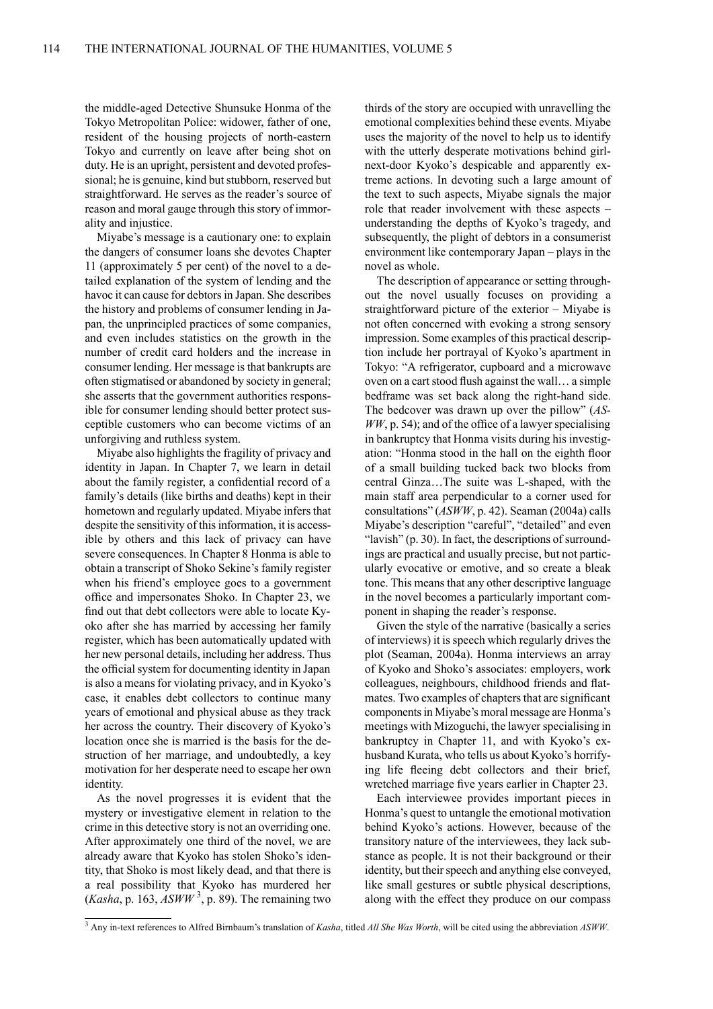the middle-aged Detective Shunsuke Honma of the Tokyo Metropolitan Police: widower, father of one, resident of the housing projects of north-eastern Tokyo and currently on leave after being shot on duty. He is an upright, persistent and devoted professional; he is genuine, kind but stubborn, reserved but straightforward. He serves as the reader's source of reason and moral gauge through this story of immorality and injustice.

Miyabe's message is a cautionary one: to explain the dangers of consumer loans she devotes Chapter 11 (approximately 5 per cent) of the novel to a detailed explanation of the system of lending and the havoc it can cause for debtors in Japan. She describes the history and problems of consumer lending in Japan, the unprincipled practices of some companies, and even includes statistics on the growth in the number of credit card holders and the increase in consumer lending. Her message is that bankrupts are often stigmatised or abandoned by society in general; she asserts that the government authorities responsible for consumer lending should better protect susceptible customers who can become victims of an unforgiving and ruthless system.

Miyabe also highlights the fragility of privacy and identity in Japan. In Chapter 7, we learn in detail about the family register, a confidential record of a family's details (like births and deaths) kept in their hometown and regularly updated. Miyabe infers that despite the sensitivity of this information, it is accessible by others and this lack of privacy can have severe consequences. In Chapter 8 Honma is able to obtain a transcript of Shoko Sekine's family register when his friend's employee goes to a government office and impersonates Shoko. In Chapter 23, we find out that debt collectors were able to locate Kyoko after she has married by accessing her family register, which has been automatically updated with her new personal details, including her address. Thus the official system for documenting identity in Japan is also a means for violating privacy, and in Kyoko's case, it enables debt collectors to continue many years of emotional and physical abuse as they track her across the country. Their discovery of Kyoko's location once she is married is the basis for the destruction of her marriage, and undoubtedly, a key motivation for her desperate need to escape her own identity.

As the novel progresses it is evident that the mystery or investigative element in relation to the crime in this detective story is not an overriding one. After approximately one third of the novel, we are already aware that Kyoko has stolen Shoko's identity, that Shoko is most likely dead, and that there is a real possibility that Kyoko has murdered her  $(Kasha, p. 163, ASWW<sup>3</sup>, p. 89)$ . The remaining two

thirds of the story are occupied with unravelling the emotional complexities behind these events. Miyabe uses the majority of the novel to help us to identify with the utterly desperate motivations behind girlnext-door Kyoko's despicable and apparently extreme actions. In devoting such a large amount of the text to such aspects, Miyabe signals the major role that reader involvement with these aspects – understanding the depths of Kyoko's tragedy, and subsequently, the plight of debtors in a consumerist environment like contemporary Japan – plays in the novel as whole.

The description of appearance or setting throughout the novel usually focuses on providing a straightforward picture of the exterior – Miyabe is not often concerned with evoking a strong sensory impression. Some examples of this practical description include her portrayal of Kyoko's apartment in Tokyo: "A refrigerator, cupboard and a microwave oven on a cart stood flush against the wall... a simple bedframe was set back along the right-hand side. The bedcover was drawn up over the pillow" (*AS-* $WW$ , p. 54); and of the office of a lawyer specialising in bankruptcy that Honma visits during his investigation: "Honma stood in the hall on the eighth floor of a small building tucked back two blocks from central Ginza…The suite was L-shaped, with the main staff area perpendicular to a corner used for consultations" (*ASWW*, p. 42). Seaman (2004a) calls Miyabe's description "careful", "detailed" and even "lavish" (p. 30). In fact, the descriptions of surroundings are practical and usually precise, but not particularly evocative or emotive, and so create a bleak tone. This means that any other descriptive language in the novel becomes a particularly important component in shaping the reader's response.

Given the style of the narrative (basically a series of interviews) it is speech which regularly drives the plot (Seaman, 2004a). Honma interviews an array of Kyoko and Shoko's associates: employers, work colleagues, neighbours, childhood friends and flatmates. Two examples of chapters that are significant componentsin Miyabe's moral message are Honma's meetings with Mizoguchi, the lawyer specialising in bankruptcy in Chapter 11, and with Kyoko's exhusband Kurata, who tells us about Kyoko's horrifying life fleeing debt collectors and their brief, wretched marriage five years earlier in Chapter 23.

Each interviewee provides important pieces in Honma's quest to untangle the emotional motivation behind Kyoko's actions. However, because of the transitory nature of the interviewees, they lack substance as people. It is not their background or their identity, but their speech and anything else conveyed, like small gestures or subtle physical descriptions, along with the effect they produce on our compass

<sup>3</sup> Any in-text references to Alfred Birnbaum's translation of *Kasha*, titled *All She Was Worth*, will be cited using the abbreviation *ASWW*.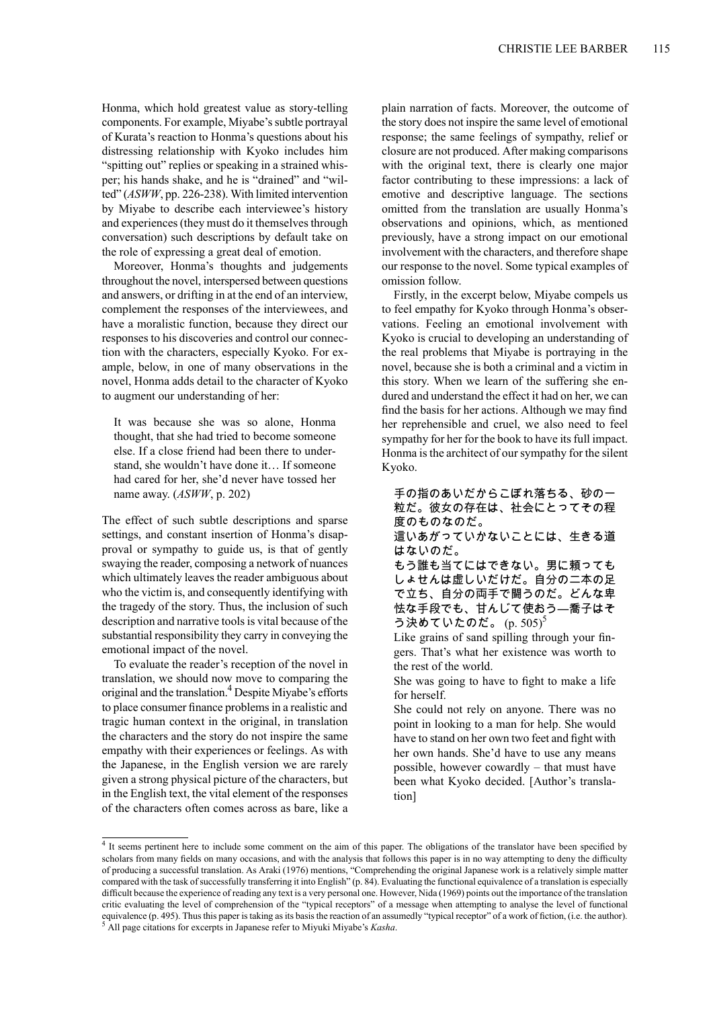Honma, which hold greatest value as story-telling components. For example, Miyabe's subtle portrayal of Kurata's reaction to Honma's questions about his distressing relationship with Kyoko includes him "spitting out" replies or speaking in a strained whisper; his hands shake, and he is "drained" and "wilted" (*ASWW*, pp. 226-238). With limited intervention by Miyabe to describe each interviewee's history and experiences (they must do it themselves through conversation) such descriptions by default take on the role of expressing a great deal of emotion.

Moreover, Honma's thoughts and judgements throughout the novel, interspersed between questions and answers, or drifting in at the end of an interview, complement the responses of the interviewees, and have a moralistic function, because they direct our responses to his discoveries and control our connection with the characters, especially Kyoko. For example, below, in one of many observations in the novel, Honma adds detail to the character of Kyoko to augment our understanding of her:

It was because she was so alone, Honma thought, that she had tried to become someone else. If a close friend had been there to understand, she wouldn't have done it… If someone had cared for her, she'd never have tossed her name away. (*ASWW*, p. 202)

The effect of such subtle descriptions and sparse settings, and constant insertion of Honma's disapproval or sympathy to guide us, is that of gently swaying the reader, composing a network of nuances which ultimately leaves the reader ambiguous about who the victim is, and consequently identifying with the tragedy of the story. Thus, the inclusion of such description and narrative tools is vital because of the substantial responsibility they carry in conveying the emotional impact of the novel.

To evaluate the reader's reception of the novel in translation, we should now move to comparing the original and the translation.<sup>4</sup> Despite Miyabe's efforts to place consumer finance problems in a realistic and tragic human context in the original, in translation the characters and the story do not inspire the same empathy with their experiences or feelings. As with the Japanese, in the English version we are rarely given a strong physical picture of the characters, but in the English text, the vital element of the responses of the characters often comes across as bare, like a

plain narration of facts. Moreover, the outcome of the story does not inspire the same level of emotional response; the same feelings of sympathy, relief or closure are not produced. After making comparisons with the original text, there is clearly one major factor contributing to these impressions: a lack of emotive and descriptive language. The sections omitted from the translation are usually Honma's observations and opinions, which, as mentioned previously, have a strong impact on our emotional involvement with the characters, and therefore shape our response to the novel.Some typical examples of omission follow.

Firstly, in the excerpt below, Miyabe compels us to feel empathy for Kyoko through Honma's observations. Feeling an emotional involvement with Kyoko is crucial to developing an understanding of the real problems that Miyabe is portraying in the novel, because she is both a criminal and a victim in this story. When we learn of the suffering she endured and understand the effect it had on her, we can find the basis for her actions. Although we may find her reprehensible and cruel, we also need to feel sympathy for her for the book to have its full impact. Honma is the architect of our sympathy for the silent Kyoko.

手の指のあいだからこぼれ落ちる、砂の一 粒だ。彼女の存在は、社会にとってその程 度のものなのだ。 這いあがっていかないことには、生きる道 はないのだ。 もう誰も当てにはできない。男に頼っても しょせんは虚しいだけだ。自分の二本の足

で立ち、自分の両手で闘うのだ。どんな卑 怯な手段でも、甘んじて使おう―喬子はそ う決めていたのだ。  $(p. 505)^5$ 

Like grains of sand spilling through your fingers. That's what her existence was worth to the rest of the world.

She was going to have to fight to make a life for herself.

She could not rely on anyone. There was no point in looking to a man for help. She would have to stand on her own two feet and fight with her own hands. She'd have to use any means possible, however cowardly – that must have been what Kyoko decided. [Author's translation]

<sup>&</sup>lt;sup>4</sup> It seems pertinent here to include some comment on the aim of this paper. The obligations of the translator have been specified by scholars from many fields on many occasions, and with the analysis that follows this paper is in no way attempting to deny the difficulty of producing a successful translation. As Araki (1976) mentions, "Comprehending the original Japanese work is a relatively simple matter compared with the task of successfully transferring it into English" (p. 84). Evaluating the functional equivalence of a translation is especially difficult because the experience of reading any text is a very personal one. However, Nida (1969) points out the importance of the translation critic evaluating the level of comprehension of the "typical receptors" of a message when attempting to analyse the level of functional equivalence (p. 495). Thus this paper is taking as its basis the reaction of an assumedly "typical receptor" of a work of fiction, (i.e. the author). <sup>5</sup> All page citations for excerpts in Japanese refer to Miyuki Miyabe's *Kasha*.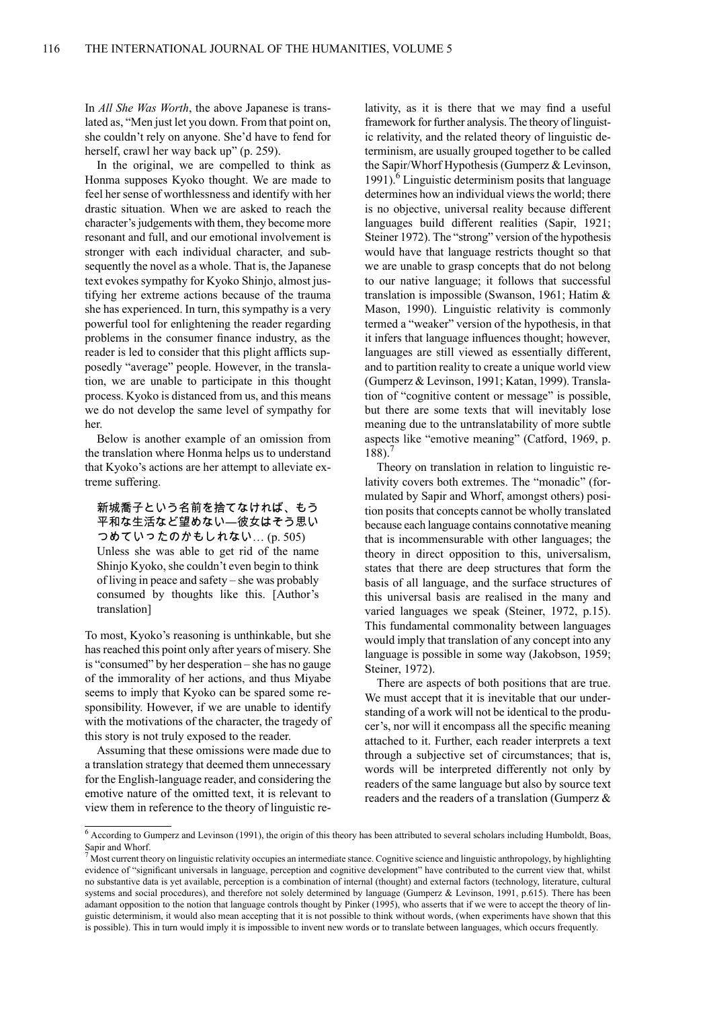In *All She Was Worth*, the above Japanese is translated as, "Men just let you down. From that point on, she couldn't rely on anyone. She'd have to fend for herself, crawl her way back up" (p. 259).

In the original, we are compelled to think as Honma supposes Kyoko thought. We are made to feel her sense of worthlessness and identify with her drastic situation. When we are asked to reach the character's judgements with them, they become more resonant and full, and our emotional involvement is stronger with each individual character, and subsequently the novel as a whole. That is, the Japanese text evokes sympathy for Kyoko Shinjo, almost justifying her extreme actions because of the trauma she has experienced. In turn, this sympathy is a very powerful tool for enlightening the reader regarding problems in the consumer finance industry, as the reader is led to consider that this plight afflicts supposedly "average" people. However, in the translation, we are unable to participate in this thought process. Kyoko is distanced from us, and this means we do not develop the same level of sympathy for her.

Below is another example of an omission from the translation where Honma helps us to understand that Kyoko's actions are her attempt to alleviate extreme suffering.

新城喬子という名前を捨てなければ、もう 平和な生活など望めない―彼女はそう思い つめていったのかもしれない… (p. 505) Unless she was able to get rid of the name Shinjo Kyoko, she couldn't even begin to think of living in peace and safety – she was probably consumed by thoughts like this. [Author's translation]

To most, Kyoko's reasoning is unthinkable, but she has reached this point only after years of misery. She is "consumed" by her desperation – she has no gauge of the immorality of her actions, and thus Miyabe seems to imply that Kyoko can be spared some responsibility. However, if we are unable to identify with the motivations of the character, the tragedy of this story is not truly exposed to the reader.

Assuming that these omissions were made due to a translation strategy that deemed them unnecessary for the English-language reader, and considering the emotive nature of the omitted text, it is relevant to view them in reference to the theory of linguistic relativity, as it is there that we may find a useful framework for further analysis. The theory of linguistic relativity, and the related theory of linguistic determinism, are usually grouped together to be called the Sapir/Whorf Hypothesis (Gumperz & Levinson, 1991). $^6$  Linguistic determinism posits that language determines how an individual views the world; there is no objective, universal reality because different languages build different realities (Sapir, 1921; Steiner 1972). The "strong" version of the hypothesis would have that language restricts thought so that we are unable to grasp concepts that do not belong to our native language; it follows that successful translation is impossible (Swanson, 1961; Hatim & Mason, 1990). Linguistic relativity is commonly termed a "weaker" version of the hypothesis, in that it infers that language influences thought; however, languages are still viewed as essentially different, and to partition reality to create a unique world view (Gumperz & Levinson, 1991; Katan, 1999). Translation of "cognitive content or message" is possible, but there are some texts that will inevitably lose meaning due to the untranslatability of more subtle aspects like "emotive meaning" (Catford, 1969, p.  $188$ ).

Theory on translation in relation to linguistic relativity covers both extremes. The "monadic" (formulated by Sapir and Whorf, amongst others) position posits that concepts cannot be wholly translated because each language contains connotative meaning that is incommensurable with other languages; the theory in direct opposition to this, universalism, states that there are deep structures that form the basis of all language, and the surface structures of this universal basis are realised in the many and varied languages we speak (Steiner, 1972, p.15). This fundamental commonality between languages would imply that translation of any concept into any language is possible in some way (Jakobson, 1959; Steiner, 1972).

There are aspects of both positions that are true. We must accept that it is inevitable that our understanding of a work will not be identical to the producer's, nor will it encompass all the specific meaning attached to it. Further, each reader interprets a text through a subjective set of circumstances; that is, words will be interpreted differently not only by readers of the same language but also by source text readers and the readers of a translation (Gumperz &

<sup>6</sup> According to Gumperz and Levinson (1991), the origin of this theory has been attributed to several scholars including Humboldt, Boas, Sapir and Whorf.

 $\frac{7}{10}$  Most current theory on linguistic relativity occupies an intermediate stance. Cognitive science and linguistic anthropology, by highlighting evidence of "significant universals in language, perception and cognitive development" have contributed to the current view that, whilst no substantive data is yet available, perception is a combination of internal (thought) and external factors (technology, literature, cultural systems and social procedures), and therefore not solely determined by language (Gumperz & Levinson, 1991, p.615). There has been adamant opposition to the notion that language controls thought by Pinker (1995), who asserts that if we were to accept the theory of linguistic determinism, it would also mean accepting that it is not possible to think without words, (when experiments have shown that this is possible). This in turn would imply it is impossible to invent new words or to translate between languages, which occurs frequently.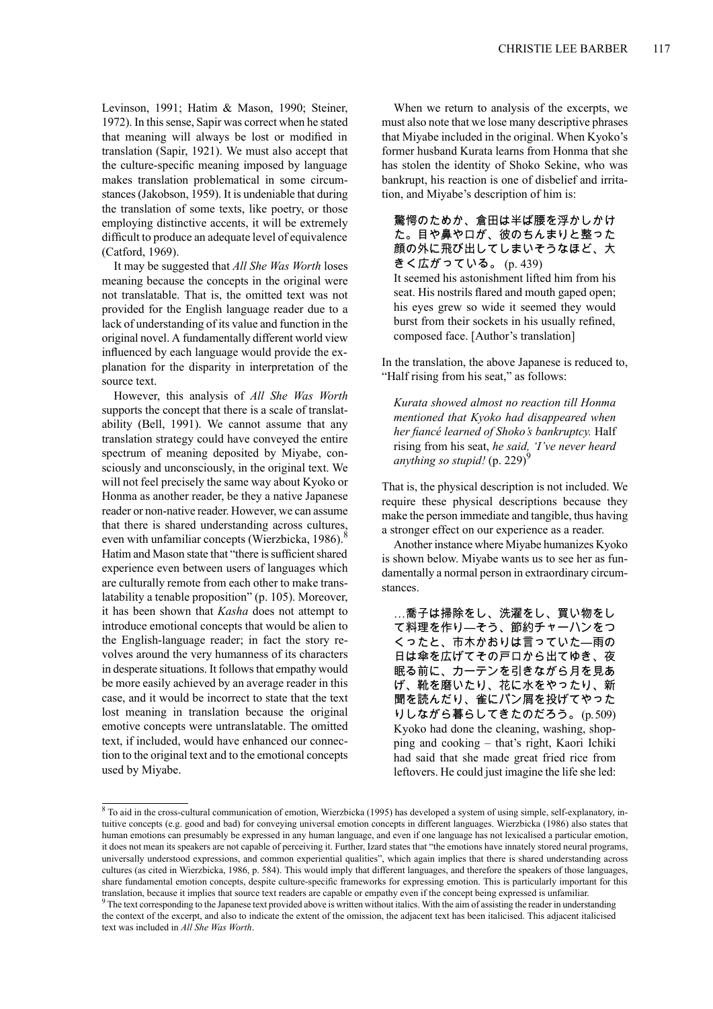Levinson, 1991; Hatim & Mason, 1990; Steiner, 1972). In this sense, Sapir was correct when he stated that meaning will always be lost or modified in translation (Sapir, 1921). We must also accept that the culture-specific meaning imposed by language makes translation problematical in some circumstances(Jakobson, 1959). It is undeniable that during the translation of some texts, like poetry, or those employing distinctive accents, it will be extremely difficult to produce an adequate level of equivalence (Catford, 1969).

It may be suggested that *All She Was Worth* loses meaning because the concepts in the original were not translatable. That is, the omitted text was not provided for the English language reader due to a lack of understanding of its value and function in the original novel. A fundamentally different world view influenced by each language would provide the explanation for the disparity in interpretation of the source text.

However, this analysis of *All She Was Worth* supports the concept that there is a scale of translatability (Bell, 1991). We cannot assume that any translation strategy could have conveyed the entire spectrum of meaning deposited by Miyabe, consciously and unconsciously, in the original text. We will not feel precisely the same way about Kyoko or Honma as another reader, be they a native Japanese reader or non-native reader. However, we can assume that there is shared understanding across cultures, even with unfamiliar concepts (Wierzbicka, 1986). $8$ Hatim and Mason state that "there is sufficient shared experience even between users of languages which are culturally remote from each other to make translatability a tenable proposition" (p. 105). Moreover, it has been shown that *Kasha* does not attempt to introduce emotional concepts that would be alien to the English-language reader; in fact the story revolves around the very humanness of its characters in desperate situations. It follows that empathy would be more easily achieved by an average reader in this case, and it would be incorrect to state that the text lost meaning in translation because the original emotive concepts were untranslatable. The omitted text, if included, would have enhanced our connection to the original text and to the emotional concepts used by Miyabe.

When we return to analysis of the excerpts, we must also note that we lose many descriptive phrases that Miyabe included in the original. When Kyoko's former husband Kurata learns from Honma that she has stolen the identity of Shoko Sekine, who was bankrupt, his reaction is one of disbelief and irritation, and Miyabe's description of him is:

驚愕のためか、倉田は半ば腰を浮かしかけ た。目や鼻や口が、彼のちんまりと整った 顔の外に飛び出してしまいそうなほど、大 きく広がっている。 (p. 439)

It seemed his astonishment lifted him from his seat. His nostrils flared and mouth gaped open; his eyes grew so wide it seemed they would burst from their sockets in his usually refined, composed face. [Author's translation]

In the translation, the above Japanese is reduced to, "Half rising from his seat," as follows:

*Kurata showed almost no reaction till Honma mentioned that Kyoko had disappeared when her fiancé learned of Shoko's bankruptcy.* Half rising from his seat, *he said, 'I've never heard anything so stupid!* (p. 229)<sup>9</sup>

That is, the physical description is not included. We require these physical descriptions because they make the person immediate and tangible, thus having a stronger effect on our experience as a reader.

Another instance where Miyabe humanizes Kyoko is shown below. Miyabe wants us to see her as fundamentally a normal person in extraordinary circumstances.

…喬子は掃除をし、洗濯をし、買い物をし て料理を作り―そう、節約チャーハンをつ くったと、市木かおりは言っていた―雨の 日は傘を広げてその戸口から出てゆき、夜 眠る前に、カーテンを引きながら月を見あ げ、靴を磨いたり、花に水をやったり、新 聞を読んだり、雀にパン屑を投げてやった りしながら暮らしてきたのだろう。(p.509) Kyoko had done the cleaning, washing, shopping and cooking – that's right, Kaori Ichiki had said that she made great fried rice from leftovers. He could just imagine the life she led:

<sup>&</sup>lt;sup>8</sup> To aid in the cross-cultural communication of emotion, Wierzbicka (1995) has developed a system of using simple, self-explanatory, intuitive concepts (e.g. good and bad) for conveying universal emotion concepts in different languages. Wierzbicka (1986) also states that human emotions can presumably be expressed in any human language, and even if one language has not lexicalised a particular emotion, it does not mean its speakers are not capable of perceiving it. Further, Izard states that "the emotions have innately stored neural programs, universally understood expressions, and common experiential qualities", which again implies that there is shared understanding across cultures (as cited in Wierzbicka, 1986, p. 584). This would imply that different languages, and therefore the speakers of those languages, share fundamental emotion concepts, despite culture-specific frameworks for expressing emotion. This is particularly important for this translation, because it implies that source text readers are capable or empathy even if the concept being expressed is unfamiliar.  $9$  The text corresponding to the Japanese text provided above is written without italics. With the aim of assisting the reader in understanding the context of the excerpt, and also to indicate the extent of the omission, the adjacent text has been italicised. This adjacent italicised text was included in *All She Was Worth*.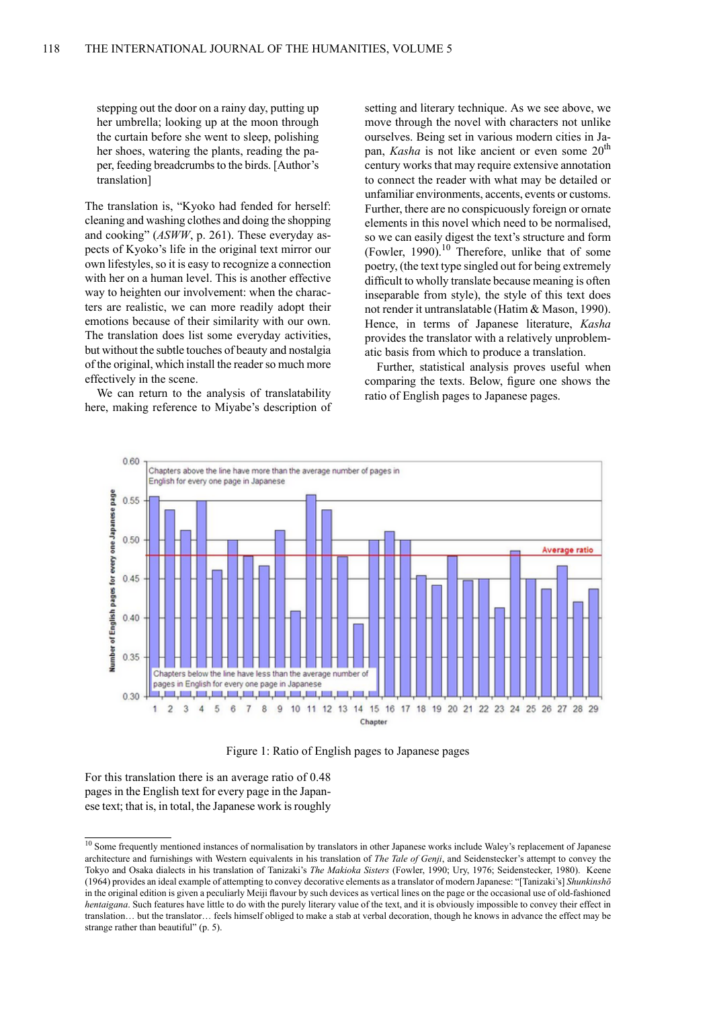stepping out the door on a rainy day, putting up her umbrella; looking up at the moon through the curtain before she went to sleep, polishing her shoes, watering the plants, reading the paper, feeding breadcrumbs to the birds. [Author's translation]

The translation is, "Kyoko had fended for herself: cleaning and washing clothes and doing the shopping and cooking" (*ASWW*, p. 261). These everyday aspects of Kyoko's life in the original text mirror our own lifestyles, so it is easy to recognize a connection with her on a human level. This is another effective way to heighten our involvement: when the characters are realistic, we can more readily adopt their emotions because of their similarity with our own. The translation does list some everyday activities, but without the subtle touches of beauty and nostalgia of the original, which install the reader so much more effectively in the scene.

We can return to the analysis of translatability here, making reference to Miyabe's description of setting and literary technique. As we see above, we move through the novel with characters not unlike ourselves. Being set in various modern cities in Japan, *Kasha* is not like ancient or even some 20<sup>th</sup> century works that may require extensive annotation to connect the reader with what may be detailed or unfamiliar environments, accents, events or customs. Further, there are no conspicuously foreign or ornate elements in this novel which need to be normalised, so we can easily digest the text's structure and form (Fowler, 1990). $^{10}$  Therefore, unlike that of some poetry, (the text type singled out for being extremely difficult to wholly translate because meaning is often inseparable from style), the style of this text does not render it untranslatable (Hatim & Mason, 1990). Hence, in terms of Japanese literature, *Kasha* provides the translator with a relatively unproblematic basis from which to produce a translation.

Further, statistical analysis proves useful when comparing the texts. Below, figure one shows the ratio of English pages to Japanese pages.



Figure 1: Ratio of English pages to Japanese pages

For this translation there is an average ratio of 0.48 pages in the English text for every page in the Japanese text; that is, in total, the Japanese work is roughly

 $\frac{10}{10}$  Some frequently mentioned instances of normalisation by translators in other Japanese works include Waley's replacement of Japanese architecture and furnishings with Western equivalents in his translation of *The Tale of Genji*, and Seidenstecker's attempt to convey the Tokyo and Osaka dialects in his translation of Tanizaki's *The Makioka Sisters* (Fowler, 1990; Ury, 1976; Seidenstecker, 1980). Keene (1964) provides an ideal example of attempting to convey decorative elements as a translator of modern Japanese: "[Tanizaki's] *Shunkinshō* in the original edition is given a peculiarly Meiji flavour by such devices as vertical lines on the page or the occasional use of old-fashioned *hentaigana*. Such features have little to do with the purely literary value of the text, and it is obviously impossible to convey their effect in translation… but the translator… feels himself obliged to make a stab at verbal decoration, though he knows in advance the effect may be strange rather than beautiful" (p. 5).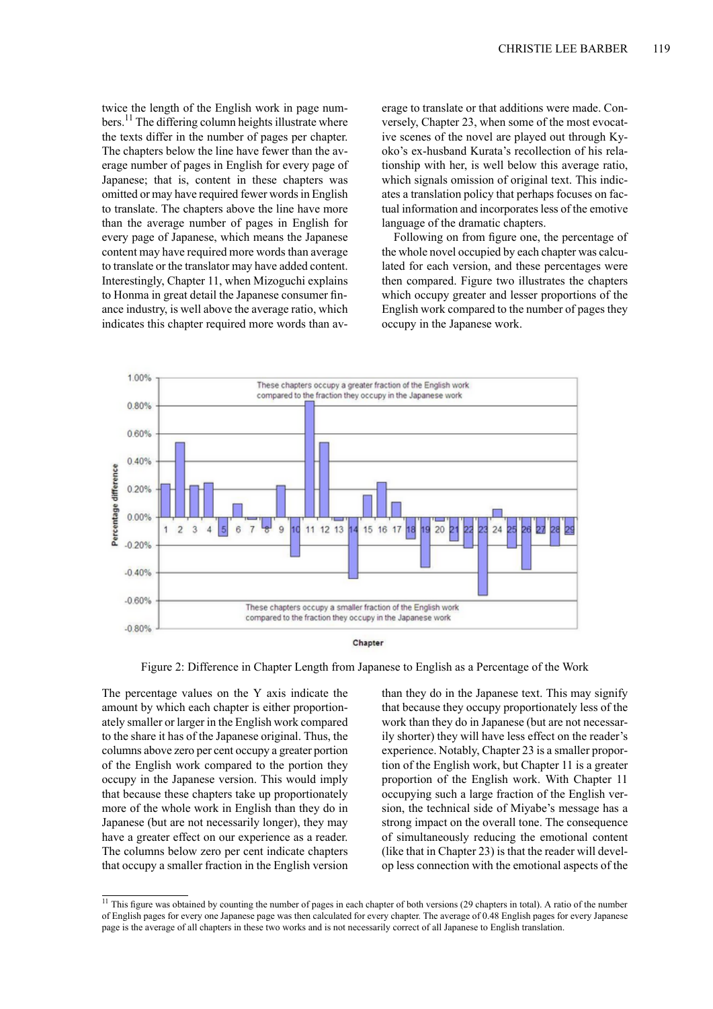twice the length of the English work in page numbers.<sup>11</sup> The differing column heights illustrate where the texts differ in the number of pages per chapter. The chapters below the line have fewer than the average number of pages in English for every page of Japanese; that is, content in these chapters was omitted or may have required fewer words in English to translate. The chapters above the line have more than the average number of pages in English for every page of Japanese, which means the Japanese content may have required more words than average to translate or the translator may have added content. Interestingly, Chapter 11, when Mizoguchi explains to Honma in great detail the Japanese consumer finance industry, is well above the average ratio, which indicates this chapter required more words than average to translate or that additions were made. Conversely, Chapter 23, when some of the most evocative scenes of the novel are played out through Kyoko's ex-husband Kurata's recollection of his relationship with her, is well below this average ratio, which signals omission of original text. This indicates a translation policy that perhaps focuses on factual information and incorporates less of the emotive language of the dramatic chapters.

Following on from figure one, the percentage of the whole novel occupied by each chapter was calculated for each version, and these percentages were then compared. Figure two illustrates the chapters which occupy greater and lesser proportions of the English work compared to the number of pages they occupy in the Japanese work.





Figure 2: Difference in Chapter Length from Japanese to English as a Percentage of the Work

The percentage values on the Y axis indicate the amount by which each chapter is either proportionately smaller or larger in the English work compared to the share it has of the Japanese original. Thus, the columns above zero per cent occupy a greater portion of the English work compared to the portion they occupy in the Japanese version. This would imply that because these chapters take up proportionately more of the whole work in English than they do in Japanese (but are not necessarily longer), they may have a greater effect on our experience as a reader. The columns below zero per cent indicate chapters that occupy a smaller fraction in the English version than they do in the Japanese text. This may signify that because they occupy proportionately less of the work than they do in Japanese (but are not necessarily shorter) they will have less effect on the reader's experience. Notably, Chapter 23 is a smaller proportion of the English work, but Chapter 11 is a greater proportion of the English work. With Chapter 11 occupying such a large fraction of the English version, the technical side of Miyabe's message has a strong impact on the overall tone. The consequence of simultaneously reducing the emotional content (like that in Chapter 23) is that the reader will develop less connection with the emotional aspects of the

 $11$  This figure was obtained by counting the number of pages in each chapter of both versions (29 chapters in total). A ratio of the number of English pages for every one Japanese page was then calculated for every chapter. The average of 0.48 English pages for every Japanese page is the average of all chapters in these two works and is not necessarily correct of all Japanese to English translation.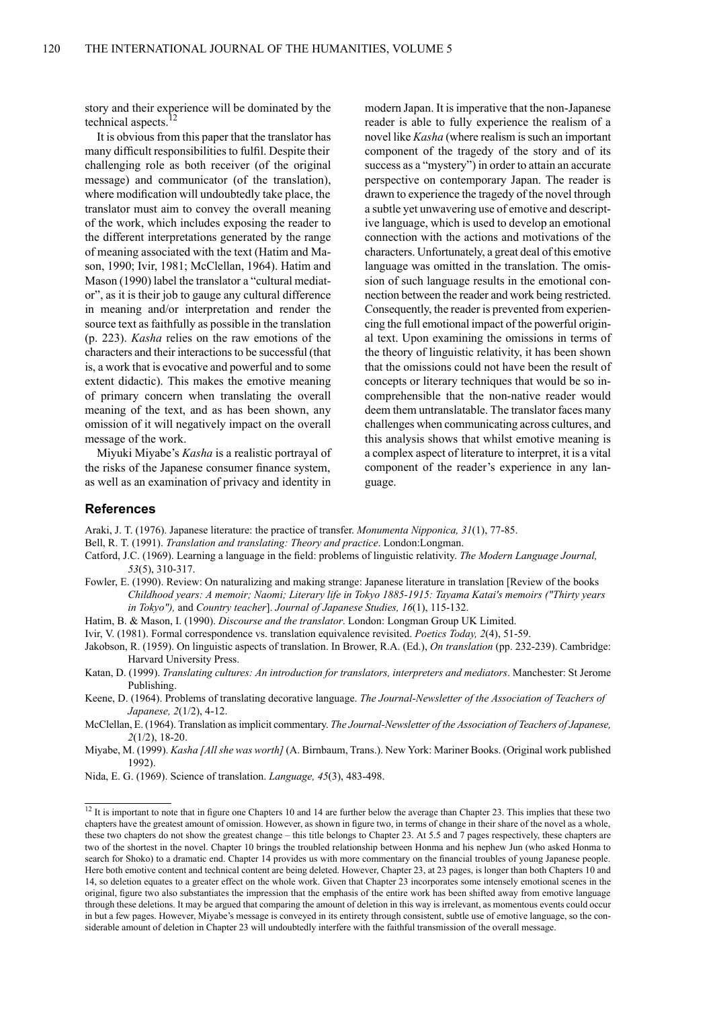story and their experience will be dominated by the technical aspects.

It is obvious from this paper that the translator has many difficult responsibilities to fulfil. Despite their challenging role as both receiver (of the original message) and communicator (of the translation), where modification will undoubtedly take place, the translator must aim to convey the overall meaning of the work, which includes exposing the reader to the different interpretations generated by the range of meaning associated with the text (Hatim and Mason, 1990; Ivir, 1981; McClellan, 1964). Hatim and Mason (1990) label the translator a "cultural mediator", as it is their job to gauge any cultural difference in meaning and/or interpretation and render the source text as faithfully as possible in the translation (p. 223). *Kasha* relies on the raw emotions of the characters and their interactions to be successful (that is, a work that is evocative and powerful and to some extent didactic). This makes the emotive meaning of primary concern when translating the overall meaning of the text, and as has been shown, any omission of it will negatively impact on the overall message of the work.

Miyuki Miyabe's *Kasha* is a realistic portrayal of the risks of the Japanese consumer finance system, as well as an examination of privacy and identity in

modern Japan. It isimperative that the non-Japanese reader is able to fully experience the realism of a novel like *Kasha* (where realism is such an important component of the tragedy of the story and of its success as a "mystery") in order to attain an accurate perspective on contemporary Japan. The reader is drawn to experience the tragedy of the novel through a subtle yet unwavering use of emotive and descriptive language, which is used to develop an emotional connection with the actions and motivations of the characters. Unfortunately, a great deal of this emotive language was omitted in the translation. The omission of such language results in the emotional connection between the reader and work being restricted. Consequently, the reader is prevented from experiencing the full emotional impact of the powerful original text. Upon examining the omissions in terms of the theory of linguistic relativity, it has been shown that the omissions could not have been the result of concepts or literary techniques that would be so incomprehensible that the non-native reader would deem them untranslatable. The translator faces many challenges when communicating across cultures, and this analysis shows that whilst emotive meaning is a complex aspect of literature to interpret, it is a vital component of the reader's experience in any language.

## **References**

Araki, J. T. (1976). Japanese literature: the practice of transfer. *Monumenta Nipponica, 31*(1), 77-85.

- Bell, R. T. (1991). *Translation and translating: Theory and practice*. London:Longman.
- Catford, J.C. (1969). Learning a language in the field: problems of linguistic relativity. *The Modern Language Journal, 53*(5), 310-317.
- Fowler, E. (1990). Review: On naturalizing and making strange: Japanese literature in translation [Review of the books *Childhood years: A memoir; Naomi; Literary life in Tokyo 1885-1915: Tayama Katai's memoirs ("Thirty years in Tokyo"),* and *Country teacher*]. *Journal of Japanese Studies, 16*(1), 115-132.
- Hatim, B. & Mason, I. (1990). *Discourse and the translator*. London: Longman Group UK Limited.
- Ivir, V. (1981). Formal correspondence vs. translation equivalence revisited. *Poetics Today, 2*(4), 51-59.
- Jakobson, R. (1959). On linguistic aspects of translation. In Brower, R.A. (Ed.), *On translation* (pp. 232-239). Cambridge: Harvard University Press.
- Katan, D. (1999). *Translating cultures: An introduction for translators, interpreters and mediators*. Manchester: St Jerome Publishing.
- Keene, D. (1964). Problems of translating decorative language. *The Journal-Newsletter of the Association of Teachers of Japanese, 2*(1/2), 4-12.
- McClellan, E. (1964). Translation asimplicit commentary. *The Journal-Newsletter of the Association of Teachers of Japanese, 2*(1/2), 18-20.
- Miyabe, M. (1999). *Kasha [All she was worth]* (A. Birnbaum, Trans.). New York: Mariner Books. (Original work published 1992).

Nida, E. G. (1969). Science of translation. *Language, 45*(3), 483-498.

 $12$  It is important to note that in figure one Chapters 10 and 14 are further below the average than Chapter 23. This implies that these two chapters have the greatest amount of omission. However, as shown in figure two, in terms of change in their share of the novel as a whole, these two chapters do not show the greatest change – this title belongs to Chapter 23. At 5.5 and 7 pages respectively, these chapters are two of the shortest in the novel. Chapter 10 brings the troubled relationship between Honma and his nephew Jun (who asked Honma to search for Shoko) to a dramatic end. Chapter 14 provides us with more commentary on the financial troubles of young Japanese people. Here both emotive content and technical content are being deleted. However, Chapter 23, at 23 pages, is longer than both Chapters 10 and 14, so deletion equates to a greater effect on the whole work. Given that Chapter 23 incorporates some intensely emotional scenes in the original, figure two also substantiates the impression that the emphasis of the entire work has been shifted away from emotive language through these deletions. It may be argued that comparing the amount of deletion in this way is irrelevant, as momentous events could occur in but a few pages. However, Miyabe's message is conveyed in its entirety through consistent, subtle use of emotive language, so the considerable amount of deletion in Chapter 23 will undoubtedly interfere with the faithful transmission of the overall message.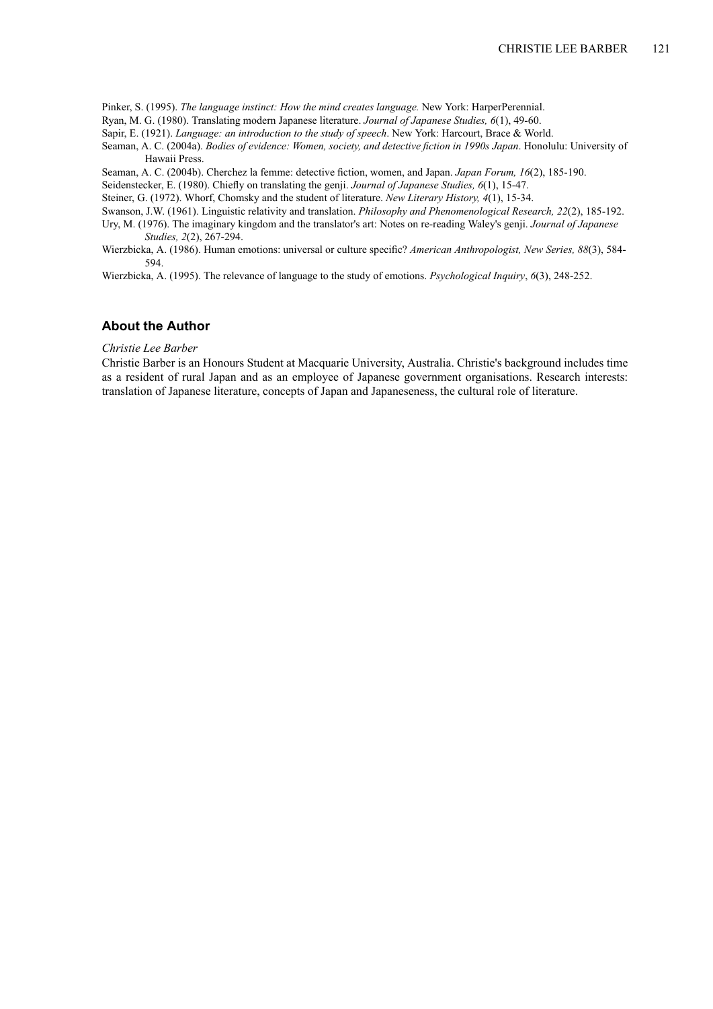Pinker, S. (1995). *The language instinct: How the mind creates language.* New York: HarperPerennial.

Ryan, M. G. (1980). Translating modern Japanese literature. *Journal of Japanese Studies, 6*(1), 49-60.

Sapir, E. (1921). *Language: an introduction to the study of speech*. New York: Harcourt, Brace & World.

Seaman, A. C. (2004a). *Bodies of evidence: Women, society, and detective fiction in 1990s Japan*. Honolulu: University of Hawaii Press.

Seaman, A. C. (2004b). Cherchez la femme: detective fiction, women, and Japan. *Japan Forum, 16*(2), 185-190.

Seidenstecker, E. (1980). Chiefly on translating the genji. *Journal of Japanese Studies, 6*(1), 15-47.

Steiner, G. (1972). Whorf, Chomsky and the student of literature. *New Literary History, 4*(1), 15-34.

Swanson, J.W. (1961). Linguistic relativity and translation. *Philosophy and Phenomenological Research, 22*(2), 185-192.

Ury, M. (1976). The imaginary kingdom and the translator's art: Notes on re-reading Waley's genji. *Journal of Japanese Studies, 2*(2), 267-294.

Wierzbicka, A. (1986). Human emotions: universal or culture specific? *American Anthropologist, New Series, 88*(3), 584- 594.

Wierzbicka, A. (1995). The relevance of language to the study of emotions. *Psychological Inquiry*, *6*(3), 248-252.

## **About the Author**

## *Christie Lee Barber*

Christie Barber is an Honours Student at Macquarie University, Australia. Christie's background includes time as a resident of rural Japan and as an employee of Japanese government organisations. Research interests: translation of Japanese literature, concepts of Japan and Japaneseness, the cultural role of literature.